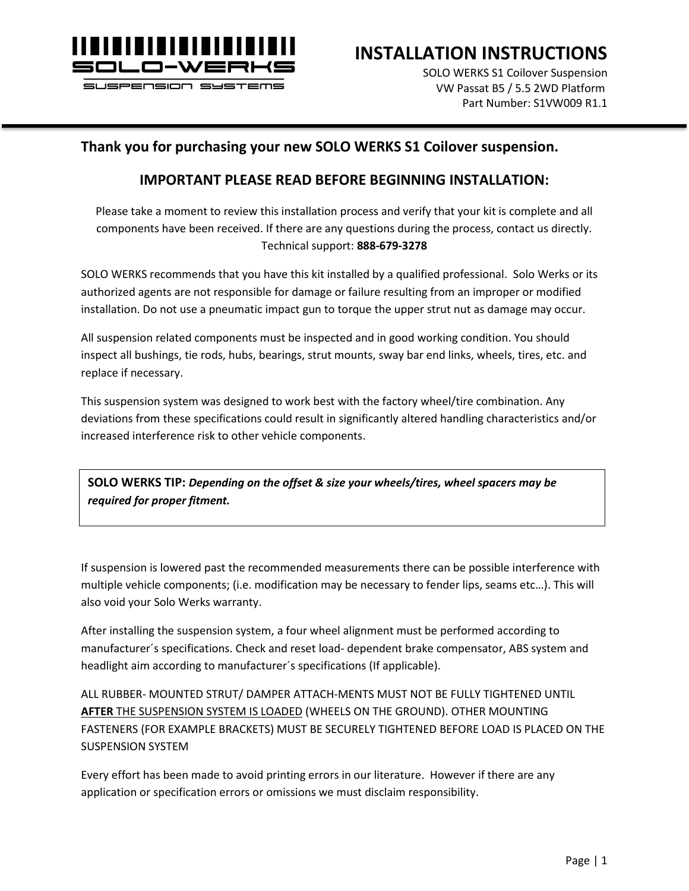

**INSTALLATION INSTRUCTIONS**

SOLO WERKS S1 Coilover Suspension VW Passat B5 / 5.5 2WD Platform Part Number: S1VW009 R1.1

#### **Thank you for purchasing your new SOLO WERKS S1 Coilover suspension.**

#### **IMPORTANT PLEASE READ BEFORE BEGINNING INSTALLATION:**

Please take a moment to review this installation process and verify that your kit is complete and all components have been received. If there are any questions during the process, contact us directly. Technical support: **888-679-3278**

SOLO WERKS recommends that you have this kit installed by a qualified professional. Solo Werks or its authorized agents are not responsible for damage or failure resulting from an improper or modified installation. Do not use a pneumatic impact gun to torque the upper strut nut as damage may occur.

All suspension related components must be inspected and in good working condition. You should inspect all bushings, tie rods, hubs, bearings, strut mounts, sway bar end links, wheels, tires, etc. and replace if necessary.

This suspension system was designed to work best with the factory wheel/tire combination. Any deviations from these specifications could result in significantly altered handling characteristics and/or increased interference risk to other vehicle components.

**SOLO WERKS TIP:** *Depending on the offset & size your wheels/tires, wheel spacers may be required for proper fitment.*

If suspension is lowered past the recommended measurements there can be possible interference with multiple vehicle components; (i.e. modification may be necessary to fender lips, seams etc…). This will also void your Solo Werks warranty.

After installing the suspension system, a four wheel alignment must be performed according to manufacturer´s specifications. Check and reset load- dependent brake compensator, ABS system and headlight aim according to manufacturer´s specifications (If applicable).

ALL RUBBER- MOUNTED STRUT/ DAMPER ATTACH-MENTS MUST NOT BE FULLY TIGHTENED UNTIL **AFTER** THE SUSPENSION SYSTEM IS LOADED (WHEELS ON THE GROUND). OTHER MOUNTING FASTENERS (FOR EXAMPLE BRACKETS) MUST BE SECURELY TIGHTENED BEFORE LOAD IS PLACED ON THE SUSPENSION SYSTEM

Every effort has been made to avoid printing errors in our literature. However if there are any application or specification errors or omissions we must disclaim responsibility.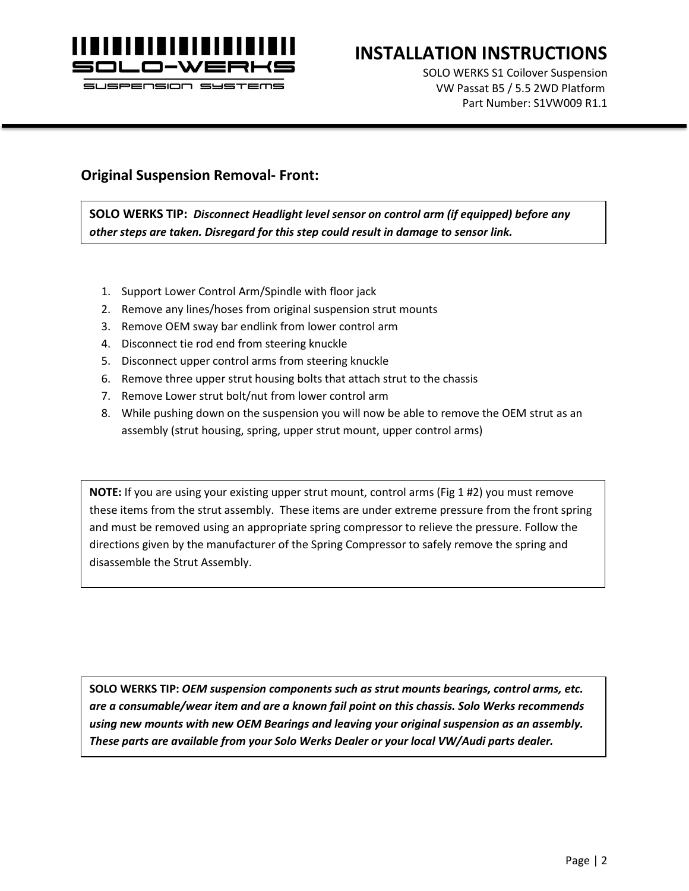

# **INSTALLATION INSTRUCTIONS**

SOLO WERKS S1 Coilover Suspension VW Passat B5 / 5.5 2WD Platform Part Number: S1VW009 R1.1

#### **Original Suspension Removal- Front:**

**SOLO WERKS TIP:** *Disconnect Headlight level sensor on control arm (if equipped) before any other steps are taken. Disregard for this step could result in damage to sensor link.*

- 1. Support Lower Control Arm/Spindle with floor jack
- 2. Remove any lines/hoses from original suspension strut mounts
- 3. Remove OEM sway bar endlink from lower control arm
- 4. Disconnect tie rod end from steering knuckle
- 5. Disconnect upper control arms from steering knuckle
- 6. Remove three upper strut housing bolts that attach strut to the chassis
- 7. Remove Lower strut bolt/nut from lower control arm
- 8. While pushing down on the suspension you will now be able to remove the OEM strut as an assembly (strut housing, spring, upper strut mount, upper control arms)

**NOTE:** If you are using your existing upper strut mount, control arms (Fig 1 #2) you must remove these items from the strut assembly. These items are under extreme pressure from the front spring and must be removed using an appropriate spring compressor to relieve the pressure. Follow the directions given by the manufacturer of the Spring Compressor to safely remove the spring and disassemble the Strut Assembly.

**SOLO WERKS TIP:** *OEM suspension components such as strut mounts bearings, control arms, etc. are a consumable/wear item and are a known fail point on this chassis. Solo Werks recommends using new mounts with new OEM Bearings and leaving your original suspension as an assembly. These parts are available from your Solo Werks Dealer or your local VW/Audi parts dealer.*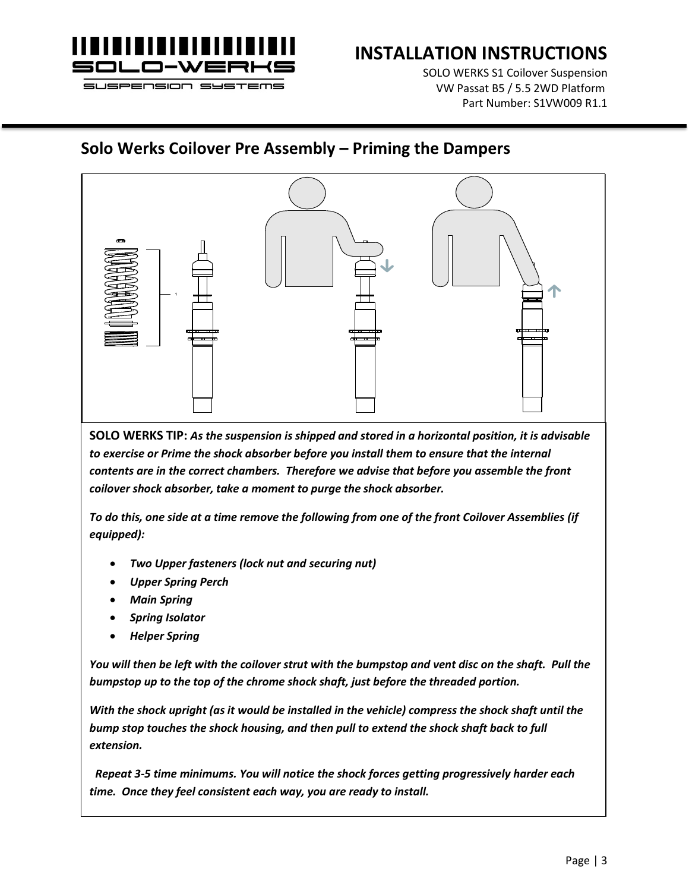

SOLO WERKS S1 Coilover Suspension VW Passat B5 / 5.5 2WD Platform Part Number: S1VW009 R1.1

### **Solo Werks Coilover Pre Assembly – Priming the Dampers**



**SOLO WERKS TIP:** *As the suspension is shipped and stored in a horizontal position, it is advisable*  to exercise or Prime the shock absorber before you install them to ensure that the internal *contents are in the correct chambers. Therefore we advise that before you assemble the front coilover shock absorber, take a moment to purge the shock absorber.* 

*To do this, one side at a time remove the following from one of the front Coilover Assemblies (if equipped):*

- *Two Upper fasteners (lock nut and securing nut)*
- *Upper Spring Perch*
- *Main Spring*
- *Spring Isolator*
- *Helper Spring*

*You will then be left with the coilover strut with the bumpstop and vent disc on the shaft. Pull the bumpstop up to the top of the chrome shock shaft, just before the threaded portion.* 

*With the shock upright (as it would be installed in the vehicle) compress the shock shaft until the bump stop touches the shock housing, and then pull to extend the shock shaft back to full extension.*

 *Repeat 3-5 time minimums. You will notice the shock forces getting progressively harder each time. Once they feel consistent each way, you are ready to install.*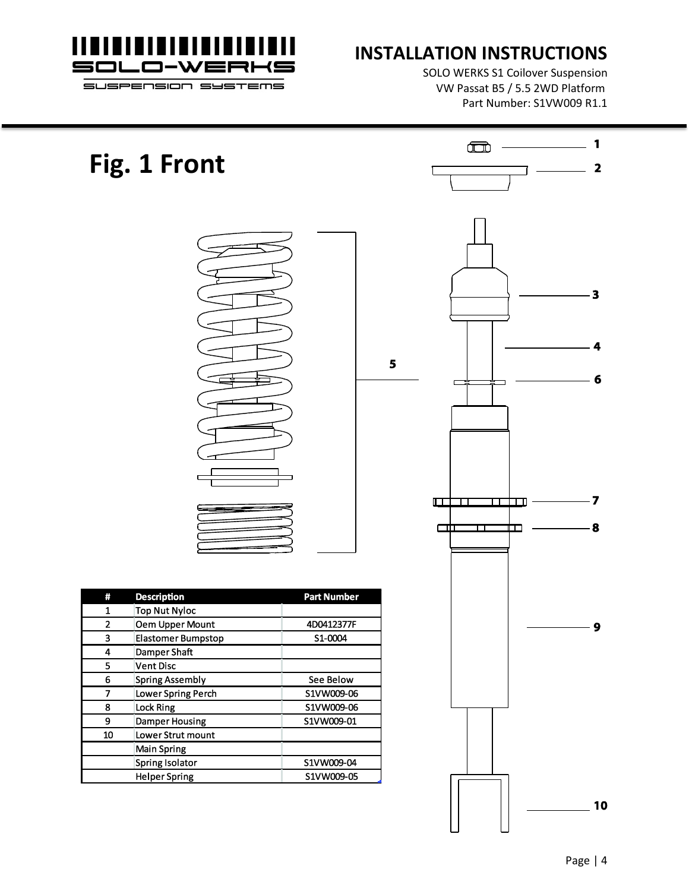

**Fig. 1 Front**

# **INSTALLATION INSTRUCTIONS**

5

SOLO WERKS S1 Coilover Suspension VW Passat B5 / 5.5 2WD Platform Part Number: S1VW009 R1.1

| Ħ  | <b>Description</b>        | <b>Part Number</b> |  |  |
|----|---------------------------|--------------------|--|--|
| 1  | <b>Top Nut Nyloc</b>      |                    |  |  |
| 2  | <b>Oem Upper Mount</b>    | 4D0412377F         |  |  |
| 3  | <b>Elastomer Bumpstop</b> | S1-0004            |  |  |
| 4  | Damper Shaft              |                    |  |  |
| 5  | <b>Vent Disc</b>          |                    |  |  |
| 6  | <b>Spring Assembly</b>    | <b>See Below</b>   |  |  |
| 7  | <b>Lower Spring Perch</b> | S1VW009-06         |  |  |
| 8  | <b>Lock Ring</b>          | S1VW009-06         |  |  |
| 9  | <b>Damper Housing</b>     | S1VW009-01         |  |  |
| 10 | <b>Lower Strut mount</b>  |                    |  |  |
|    | <b>Main Spring</b>        |                    |  |  |
|    | <b>Spring Isolator</b>    | S1VW009-04         |  |  |
|    | <b>Helper Spring</b>      | S1VW009-05         |  |  |

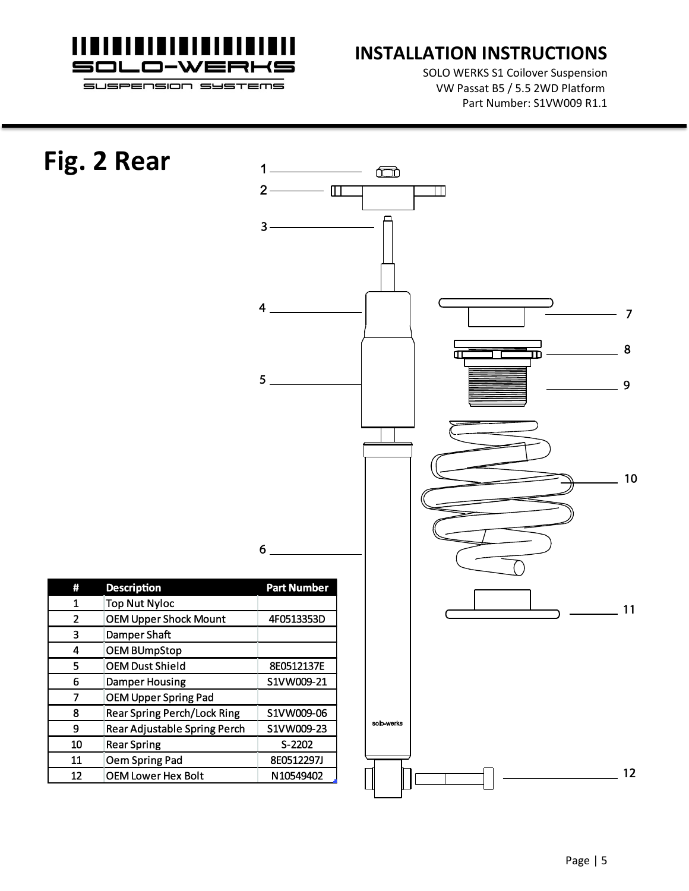

SOLO WERKS S1 Coilover Suspension VW Passat B5 / 5.5 2WD Platform Part Number: S1VW009 R1.1

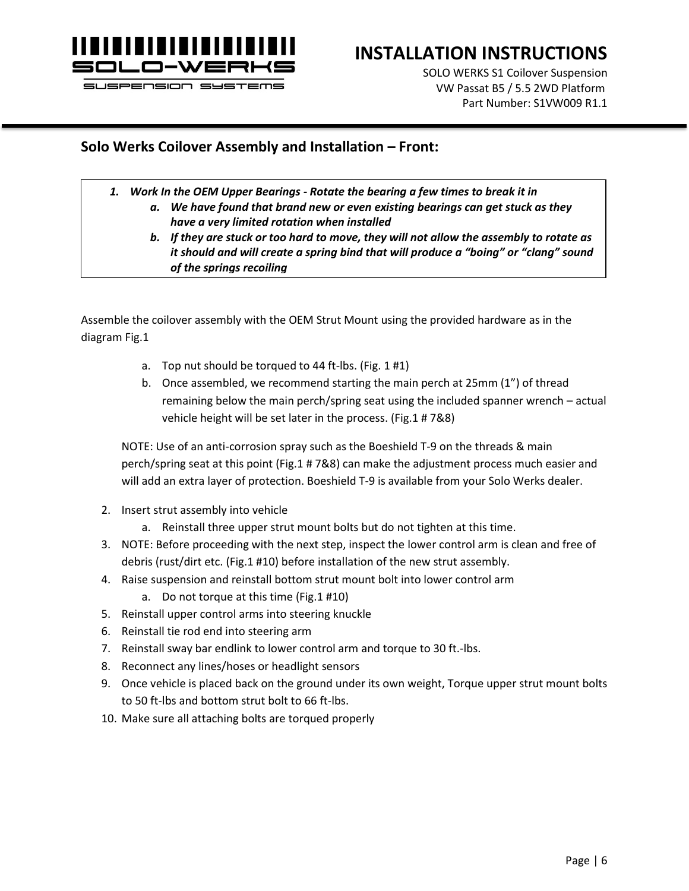

### **INSTALLATION INSTRUCTIONS**

SOLO WERKS S1 Coilover Suspension VW Passat B5 / 5.5 2WD Platform Part Number: S1VW009 R1.1

#### **Solo Werks Coilover Assembly and Installation – Front:**

- *1. Work In the OEM Upper Bearings - Rotate the bearing a few times to break it in*
	- *a. We have found that brand new or even existing bearings can get stuck as they have a very limited rotation when installed*
	- *b. If they are stuck or too hard to move, they will not allow the assembly to rotate as it should and will create a spring bind that will produce a "boing" or "clang" sound of the springs recoiling*

Assemble the coilover assembly with the OEM Strut Mount using the provided hardware as in the diagram Fig.1

- a. Top nut should be torqued to 44 ft-lbs. (Fig. 1 #1)
- b. Once assembled, we recommend starting the main perch at 25mm (1") of thread remaining below the main perch/spring seat using the included spanner wrench – actual vehicle height will be set later in the process. (Fig.1 # 7&8)

NOTE: Use of an anti-corrosion spray such as the Boeshield T-9 on the threads & main perch/spring seat at this point (Fig.1 # 7&8) can make the adjustment process much easier and will add an extra layer of protection. Boeshield T-9 is available from your Solo Werks dealer.

- 2. Insert strut assembly into vehicle
	- a. Reinstall three upper strut mount bolts but do not tighten at this time.
- 3. NOTE: Before proceeding with the next step, inspect the lower control arm is clean and free of debris (rust/dirt etc. (Fig.1 #10) before installation of the new strut assembly.
- 4. Raise suspension and reinstall bottom strut mount bolt into lower control arm
	- a. Do not torque at this time (Fig.1 #10)
- 5. Reinstall upper control arms into steering knuckle
- 6. Reinstall tie rod end into steering arm
- 7. Reinstall sway bar endlink to lower control arm and torque to 30 ft.-lbs.
- 8. Reconnect any lines/hoses or headlight sensors
- 9. Once vehicle is placed back on the ground under its own weight, Torque upper strut mount bolts to 50 ft-lbs and bottom strut bolt to 66 ft-lbs.
- 10. Make sure all attaching bolts are torqued properly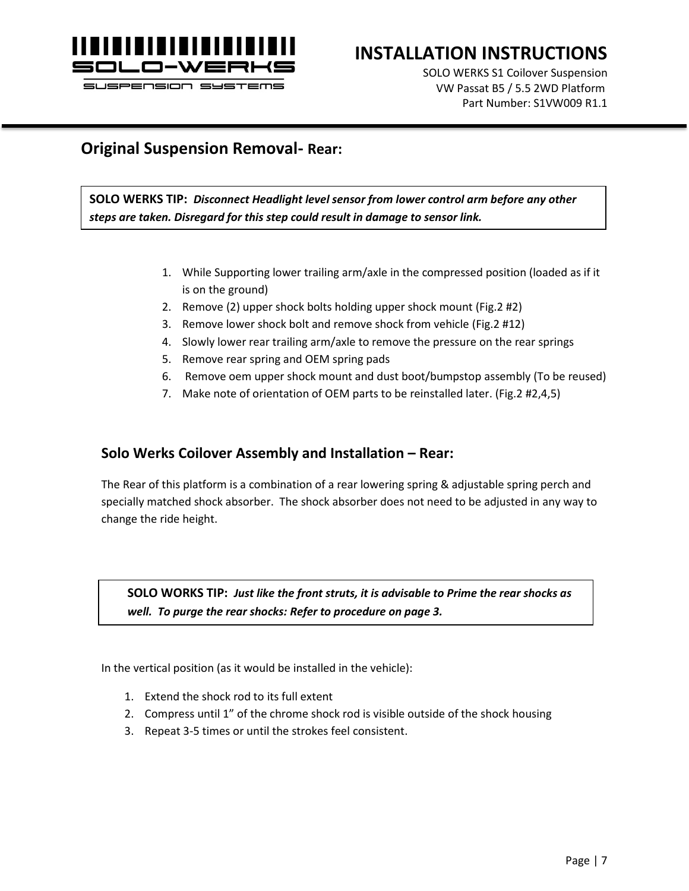

### **INSTALLATION INSTRUCTIONS**

SOLO WERKS S1 Coilover Suspension VW Passat B5 / 5.5 2WD Platform Part Number: S1VW009 R1.1

#### **Original Suspension Removal- Rear:**

**SOLO WERKS TIP:** *Disconnect Headlight level sensor from lower control arm before any other steps are taken. Disregard for this step could result in damage to sensor link.*

- 1. While Supporting lower trailing arm/axle in the compressed position (loaded as if it is on the ground)
- 2. Remove (2) upper shock bolts holding upper shock mount (Fig.2 #2)
- 3. Remove lower shock bolt and remove shock from vehicle (Fig.2 #12)
- 4. Slowly lower rear trailing arm/axle to remove the pressure on the rear springs
- 5. Remove rear spring and OEM spring pads
- 6. Remove oem upper shock mount and dust boot/bumpstop assembly (To be reused)
- 7. Make note of orientation of OEM parts to be reinstalled later. (Fig.2 #2,4,5)

#### **Solo Werks Coilover Assembly and Installation – Rear:**

The Rear of this platform is a combination of a rear lowering spring & adjustable spring perch and specially matched shock absorber. The shock absorber does not need to be adjusted in any way to change the ride height.

**SOLO WORKS TIP:** *Just like the front struts, it is advisable to Prime the rear shocks as well. To purge the rear shocks: Refer to procedure on page 3.*

In the vertical position (as it would be installed in the vehicle):

- 1. Extend the shock rod to its full extent
- 2. Compress until 1" of the chrome shock rod is visible outside of the shock housing
- 3. Repeat 3-5 times or until the strokes feel consistent.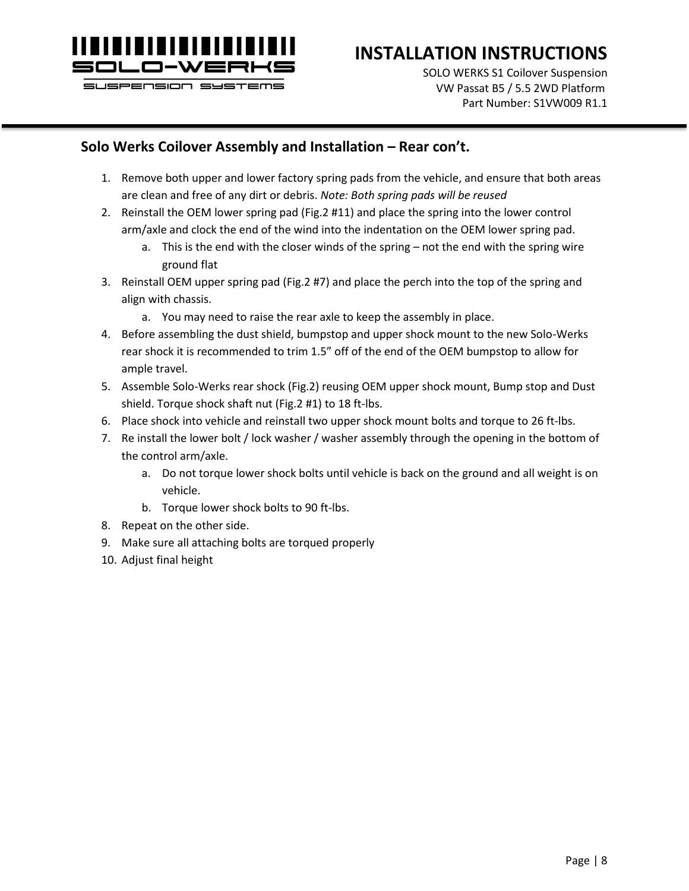

# **INSTALLATION INSTRUCTIONS**

SOLO WERKS S1 Coilover Suspension VW Passat B5 / 5.5 2WD Platform Part Number: S1VW009 R1.1

#### **Solo Werks Coilover Assembly and Installation – Rear con't.**

- 1. Remove both upper and lower factory spring pads from the vehicle, and ensure that both areas are clean and free of any dirt or debris. *Note: Both spring pads will be reused*
- 2. Reinstall the OEM lower spring pad (Fig.2 #11) and place the spring into the lower control arm/axle and clock the end of the wind into the indentation on the OEM lower spring pad.
	- a. This is the end with the closer winds of the spring not the end with the spring wire ground flat
- 3. Reinstall OEM upper spring pad (Fig.2 #7) and place the perch into the top of the spring and align with chassis.
	- a. You may need to raise the rear axle to keep the assembly in place.
- 4. Before assembling the dust shield, bumpstop and upper shock mount to the new Solo-Werks rear shock it is recommended to trim 1.5" off of the end of the OEM bumpstop to allow for ample travel.
- 5. Assemble Solo-Werks rear shock (Fig.2) reusing OEM upper shock mount, Bump stop and Dust shield. Torque shock shaft nut (Fig.2 #1) to 18 ft-lbs.
- 6. Place shock into vehicle and reinstall two upper shock mount bolts and torque to 26 ft-lbs.
- 7. Re install the lower bolt / lock washer / washer assembly through the opening in the bottom of the control arm/axle.
	- a. Do not torque lower shock bolts until vehicle is back on the ground and all weight is on vehicle.
	- b. Torque lower shock bolts to 90 ft-lbs.
- 8. Repeat on the other side.
- 9. Make sure all attaching bolts are torqued properly
- 10. Adjust final height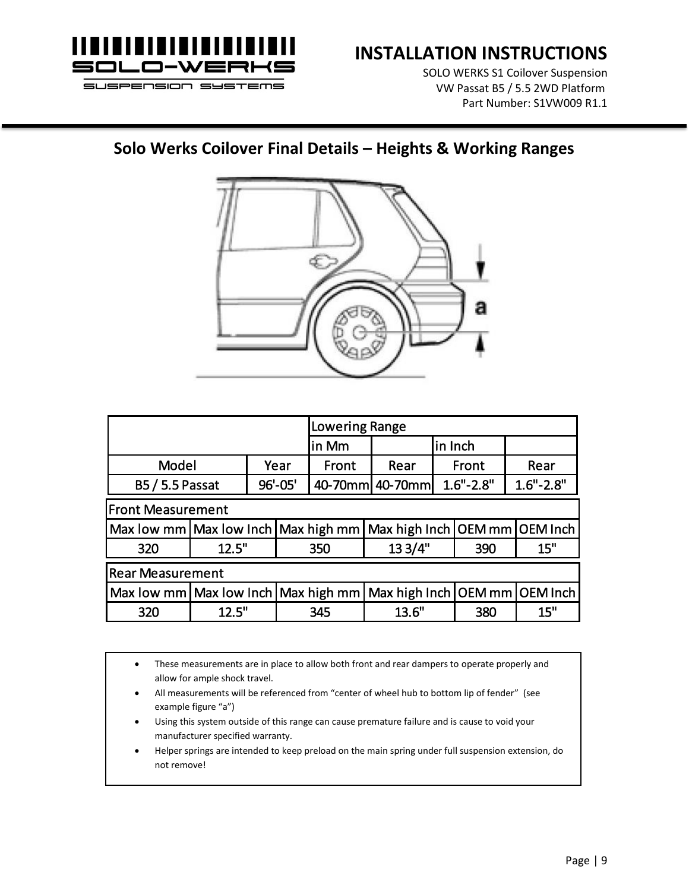

SOLO WERKS S1 Coilover Suspension VW Passat B5 / 5.5 2WD Platform Part Number: S1VW009 R1.1

## **Solo Werks Coilover Final Details – Heights & Working Ranges**



|                                                                             |                                                                   |  | <b>Lowering Range</b> |                 |               |  |               |      |
|-----------------------------------------------------------------------------|-------------------------------------------------------------------|--|-----------------------|-----------------|---------------|--|---------------|------|
|                                                                             |                                                                   |  | in Mm                 | in Inch         |               |  |               |      |
| Model                                                                       |                                                                   |  | Year                  | Front           | Rear          |  | Front         | Rear |
| 96'-05'<br><b>B5/5.5 Passat</b>                                             |                                                                   |  |                       | 40-70mm 40-70mm | $1.6" - 2.8"$ |  | $1.6" - 2.8"$ |      |
| <b>Front Measurement</b>                                                    |                                                                   |  |                       |                 |               |  |               |      |
|                                                                             | Max low mm Max low Inch Max high mm Max high Inch OEM mm OEM Inch |  |                       |                 |               |  |               |      |
| 320                                                                         | 12.5"                                                             |  |                       | 350             | 13 3/4"       |  | 390           | 15"  |
| <b>Rear Measurement</b>                                                     |                                                                   |  |                       |                 |               |  |               |      |
| Max low mm   Max low Inch   Max high mm   Max high Inch   OEM mm   OEM Inch |                                                                   |  |                       |                 |               |  |               |      |
| 320                                                                         | 12.5"                                                             |  |                       | 345             | 13.6"         |  | 380           | 15"  |

• These measurements are in place to allow both front and rear dampers to operate properly and allow for ample shock travel.

- All measurements will be referenced from "center of wheel hub to bottom lip of fender" (see example figure "a")
- Using this system outside of this range can cause premature failure and is cause to void your manufacturer specified warranty.
- Helper springs are intended to keep preload on the main spring under full suspension extension, do not remove!